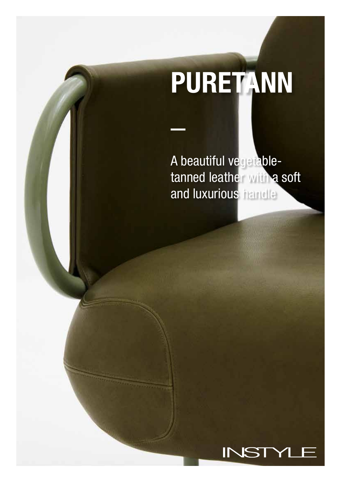# PURETANN

A beautiful vegetabletanned leather with a soft and luxurious handle

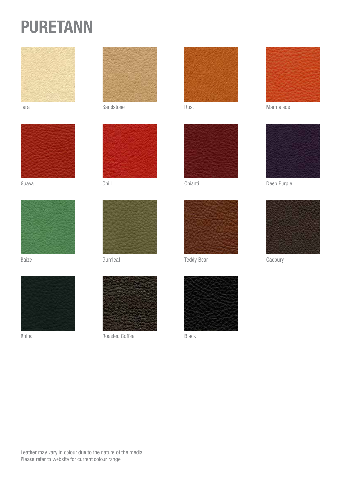## PURETANN





Guava Chilli





Rhino



Tara Rust Rust Sandstone Care Rust





Baize **Gumleaf** 



Roasted Coffee







Teddy Bear Cadbury



Black



Marmalade



Chianti Deep Purple